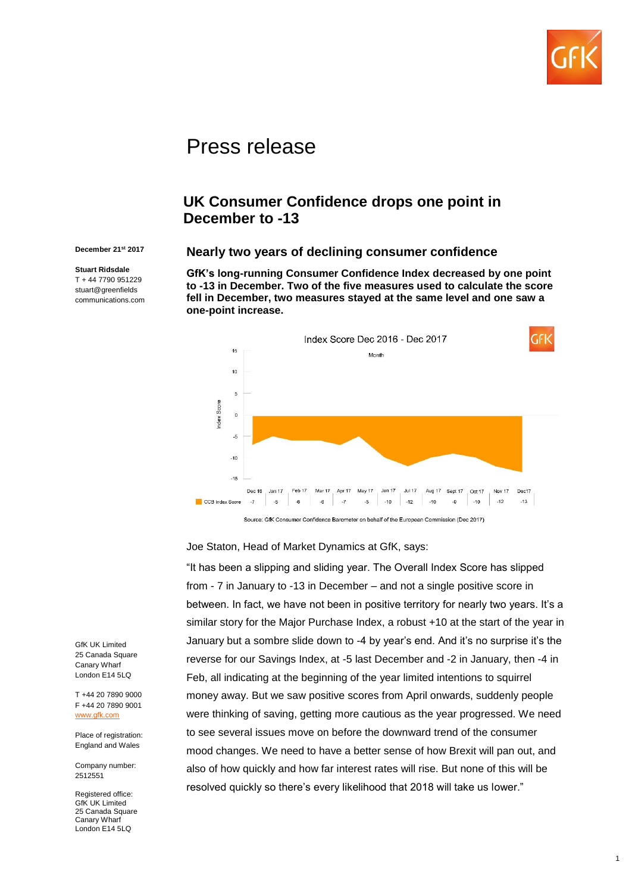

# Press release

# **UK Consumer Confidence drops one point in December to -13**

#### **December 21st 2017**

**Stuart Ridsdale** T + 44 7790 951229 stuart@greenfields communications.com

#### **Nearly two years of declining consumer confidence**

**GfK's long-running Consumer Confidence Index decreased by one point to -13 in December. Two of the five measures used to calculate the score fell in December, two measures stayed at the same level and one saw a one-point increase.** 



Joe Staton, Head of Market Dynamics at GfK, says:

"It has been a slipping and sliding year. The Overall Index Score has slipped from - 7 in January to -13 in December – and not a single positive score in between. In fact, we have not been in positive territory for nearly two years. It's a similar story for the Major Purchase Index, a robust +10 at the start of the year in January but a sombre slide down to -4 by year's end. And it's no surprise it's the reverse for our Savings Index, at -5 last December and -2 in January, then -4 in Feb, all indicating at the beginning of the year limited intentions to squirrel money away. But we saw positive scores from April onwards, suddenly people were thinking of saving, getting more cautious as the year progressed. We need to see several issues move on before the downward trend of the consumer mood changes. We need to have a better sense of how Brexit will pan out, and also of how quickly and how far interest rates will rise. But none of this will be resolved quickly so there's every likelihood that 2018 will take us lower."

GfK UK Limited 25 Canada Square Canary Wharf London E14 5LQ

T +44 20 7890 9000 F +44 20 7890 9001 [www.gfk.com](http://www.gfk.com/)

Place of registration: England and Wales

Company number: 2512551

Registered office: **GfK UK Limited** 25 Canada Square Canary Wharf London E14 5LQ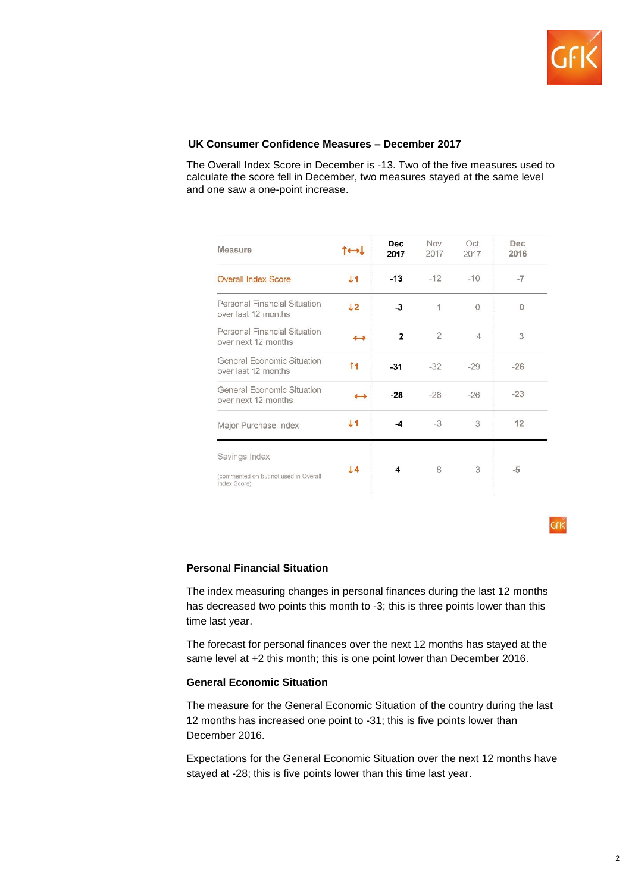

### **UK Consumer Confidence Measures – December 2017**

The Overall Index Score in December is -13. Two of the five measures used to calculate the score fell in December, two measures stayed at the same level and one saw a one-point increase.

| <b>Measure</b>                                        |                   | <b>Dec</b><br>2017 | Nov<br>2017    | Oct<br>2017 | Dec<br>2016  |
|-------------------------------------------------------|-------------------|--------------------|----------------|-------------|--------------|
| <b>Overall Index Score</b>                            | J <sub>1</sub>    | $-13$              | $-12$          | $-10$       | $-7$         |
| Personal Financial Situation<br>over last 12 months   | 12                | $-3$               | $-1$           | 0           | $\mathbf{0}$ |
| Personal Financial Situation<br>over next 12 months   | $\leftrightarrow$ | $\overline{2}$     | $\overline{2}$ | $\Delta$    | 3            |
| General Economic Situation<br>over last 12 months     | 11                | $-31$              | $-32$          | $-29$       | $-26$        |
| General Economic Situation<br>over next 12 months     |                   | $-28$              | $-28$          | $-26$       | $-23$        |
| Major Purchase Index                                  | 11                | -4                 | $-3$           | 3           | 12           |
| Savings Index                                         |                   | 4                  | 8              | 3           | $-5$         |
| (commented on but not used in Overall<br>Index Score) | 14                |                    |                |             |              |

 $F<sub>16</sub>$ 

# **Personal Financial Situation**

The index measuring changes in personal finances during the last 12 months has decreased two points this month to -3; this is three points lower than this time last year.

The forecast for personal finances over the next 12 months has stayed at the same level at +2 this month; this is one point lower than December 2016.

#### **General Economic Situation**

The measure for the General Economic Situation of the country during the last 12 months has increased one point to -31; this is five points lower than December 2016.

Expectations for the General Economic Situation over the next 12 months have stayed at -28; this is five points lower than this time last year.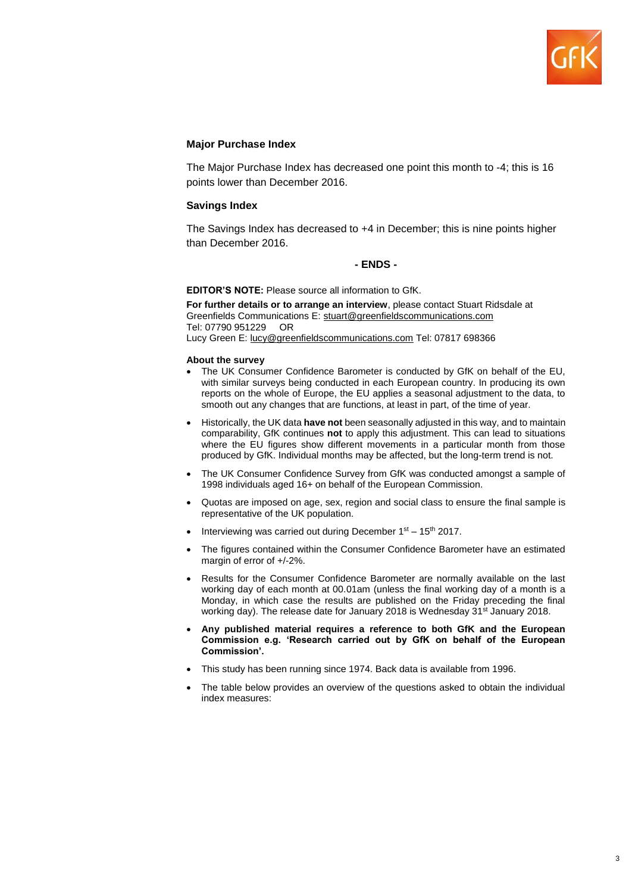

#### **Major Purchase Index**

The Major Purchase Index has decreased one point this month to -4; this is 16 points lower than December 2016.

#### **Savings Index**

The Savings Index has decreased to +4 in December; this is nine points higher than December 2016.

#### **- ENDS -**

**EDITOR'S NOTE:** Please source all information to GfK.

**For further details or to arrange an interview**, please contact Stuart Ridsdale at Greenfields Communications E: stuart@greenfieldscommunications.com Tel: 07790 951229 OR Lucy Green E: [lucy@greenfieldscommunications.com](mailto:lucy@greenfieldscommunications.com) Tel: 07817 698366

#### **About the survey**

- The UK Consumer Confidence Barometer is conducted by GfK on behalf of the EU, with similar surveys being conducted in each European country. In producing its own reports on the whole of Europe, the EU applies a seasonal adjustment to the data, to smooth out any changes that are functions, at least in part, of the time of year.
- Historically, the UK data **have not** been seasonally adjusted in this way, and to maintain comparability, GfK continues **not** to apply this adjustment. This can lead to situations where the EU figures show different movements in a particular month from those produced by GfK. Individual months may be affected, but the long-term trend is not.
- The UK Consumer Confidence Survey from GfK was conducted amongst a sample of 1998 individuals aged 16+ on behalf of the European Commission.
- Quotas are imposed on age, sex, region and social class to ensure the final sample is representative of the UK population.
- Interviewing was carried out during December  $1<sup>st</sup> 15<sup>th</sup>$  2017.
- The figures contained within the Consumer Confidence Barometer have an estimated margin of error of +/-2%.
- Results for the Consumer Confidence Barometer are normally available on the last working day of each month at 00.01am (unless the final working day of a month is a Monday, in which case the results are published on the Friday preceding the final working day). The release date for January 2018 is Wednesday 31<sup>st</sup> January 2018.
- **Any published material requires a reference to both GfK and the European Commission e.g. 'Research carried out by GfK on behalf of the European Commission'.**
- This study has been running since 1974. Back data is available from 1996.
- The table below provides an overview of the questions asked to obtain the individual index measures: